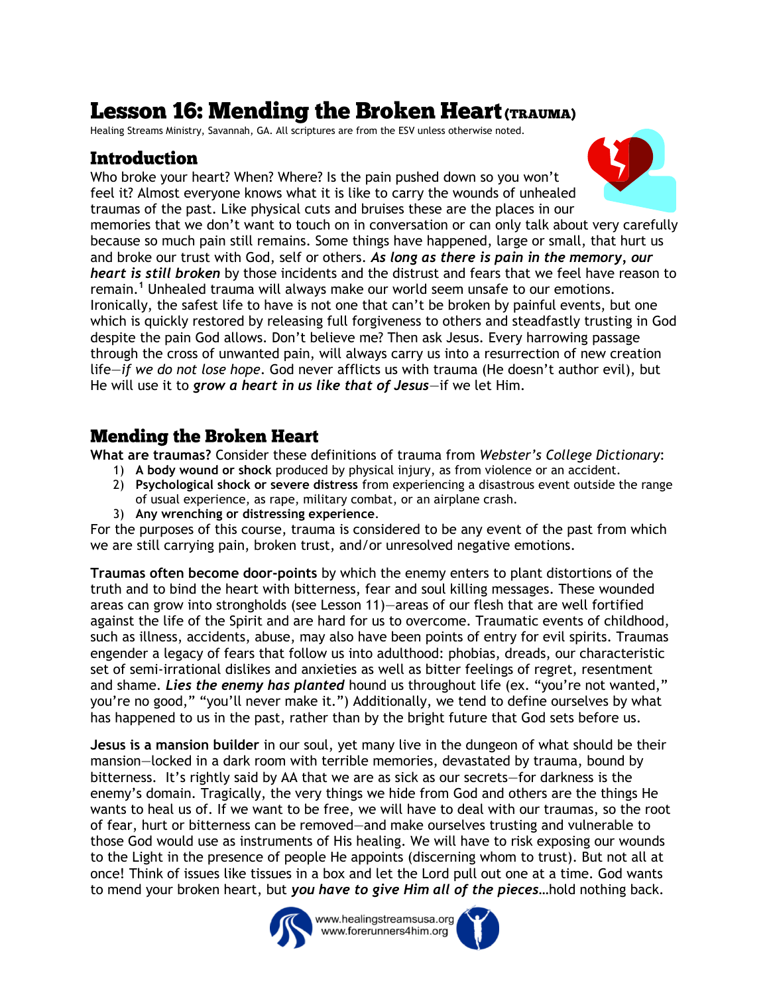# **Lesson 16: Mending the Broken Heart (TRAUMA)**

Healing Streams Ministry, Savannah, GA. All scriptures are from the ESV unless otherwise noted.

## **Introduction**

Who broke your heart? When? Where? Is the pain pushed down so you won't feel it? Almost everyone knows what it is like to carry the wounds of unhealed traumas of the past. Like physical cuts and bruises these are the places in our

memories that we don't want to touch on in conversation or can only talk about very carefully because so much pain still remains. Some things have happened, large or small, that hurt us and broke our trust with God, self or others. *As long as there is pain in the memory, our heart is still broken* by those incidents and the distrust and fears that we feel have reason to remain.**<sup>1</sup>** Unhealed trauma will always make our world seem unsafe to our emotions. Ironically, the safest life to have is not one that can't be broken by painful events, but one which is quickly restored by releasing full forgiveness to others and steadfastly trusting in God despite the pain God allows. Don't believe me? Then ask Jesus. Every harrowing passage through the cross of unwanted pain, will always carry us into a resurrection of new creation life—*if we do not lose hope*. God never afflicts us with trauma (He doesn't author evil), but He will use it to *grow a heart in us like that of Jesus*—if we let Him.

## **Mending the Broken Heart**

**What are traumas?** Consider these definitions of trauma from *Webster's College Dictionary*:

- 1) **A body wound or shock** produced by physical injury, as from violence or an accident.
- 2) **Psychological shock or severe distress** from experiencing a disastrous event outside the range of usual experience, as rape, military combat, or an airplane crash.
- 3) **Any wrenching or distressing experience**.

For the purposes of this course, trauma is considered to be any event of the past from which we are still carrying pain, broken trust, and/or unresolved negative emotions.

**Traumas often become door-points** by which the enemy enters to plant distortions of the truth and to bind the heart with bitterness, fear and soul killing messages. These wounded areas can grow into strongholds (see Lesson 11)—areas of our flesh that are well fortified against the life of the Spirit and are hard for us to overcome. Traumatic events of childhood, such as illness, accidents, abuse, may also have been points of entry for evil spirits. Traumas engender a legacy of fears that follow us into adulthood: phobias, dreads, our characteristic set of semi-irrational dislikes and anxieties as well as bitter feelings of regret, resentment and shame. *Lies the enemy has planted* hound us throughout life (ex. "you're not wanted," you're no good," "you'll never make it.") Additionally, we tend to define ourselves by what has happened to us in the past, rather than by the bright future that God sets before us.

**Jesus is a mansion builder** in our soul, yet many live in the dungeon of what should be their mansion—locked in a dark room with terrible memories, devastated by trauma, bound by bitterness. It's rightly said by AA that we are as sick as our secrets—for darkness is the enemy's domain. Tragically, the very things we hide from God and others are the things He wants to heal us of. If we want to be free, we will have to deal with our traumas, so the root of fear, hurt or bitterness can be removed—and make ourselves trusting and vulnerable to those God would use as instruments of His healing. We will have to risk exposing our wounds to the Light in the presence of people He appoints (discerning whom to trust). But not all at once! Think of issues like tissues in a box and let the Lord pull out one at a time. God wants to mend your broken heart, but *you have to give Him all of the pieces*…hold nothing back.



www.healingstreamsusa.org www.forerunners4him.org



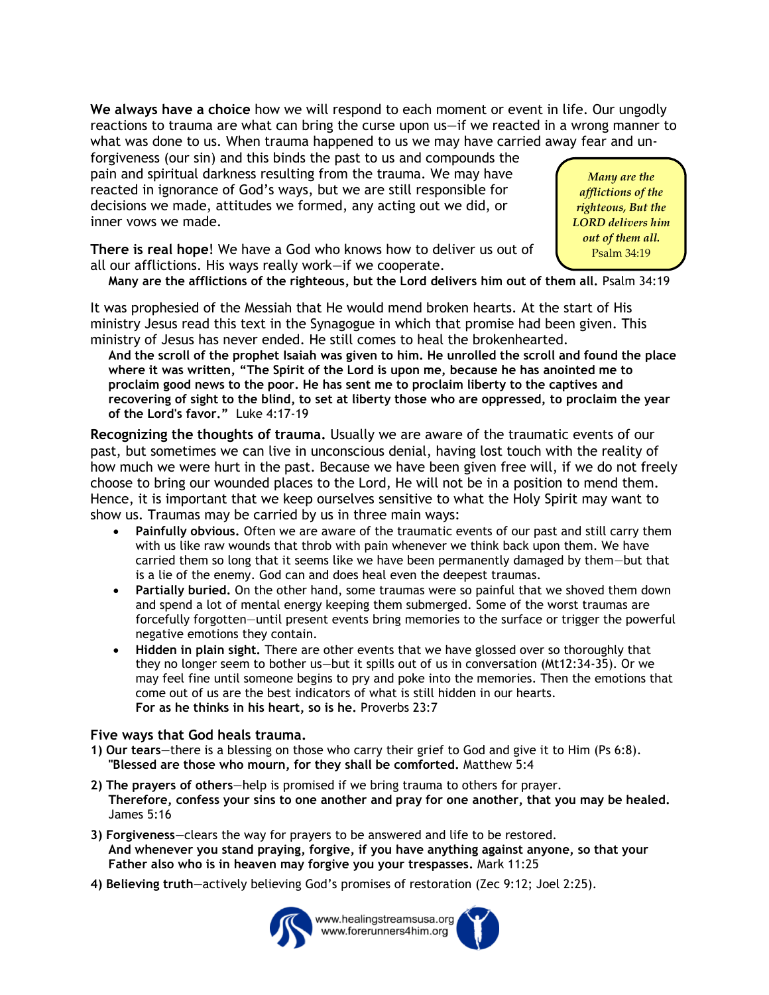**We always have a choice** how we will respond to each moment or event in life. Our ungodly reactions to trauma are what can bring the curse upon us—if we reacted in a wrong manner to what was done to us. When trauma happened to us we may have carried away fear and un-

forgiveness (our sin) and this binds the past to us and compounds the pain and spiritual darkness resulting from the trauma. We may have reacted in ignorance of God's ways, but we are still responsible for decisions we made, attitudes we formed, any acting out we did, or inner vows we made.

*Many are the afflictions of the righteous, But the LORD delivers him out of them all.* Psalm 34:19

**There is real hope**! We have a God who knows how to deliver us out of all our afflictions. His ways really work—if we cooperate.

**Many are the afflictions of the righteous, but the Lord delivers him out of them all.** Psalm 34:19 

It was prophesied of the Messiah that He would mend broken hearts. At the start of His ministry Jesus read this text in the Synagogue in which that promise had been given. This ministry of Jesus has never ended. He still comes to heal the brokenhearted.

**And the scroll of the prophet Isaiah was given to him. He unrolled the scroll and found the place where it was written, "The Spirit of the Lord is upon me, because he has anointed me to proclaim good news to the poor. He has sent me to proclaim liberty to the captives and recovering of sight to the blind, to set at liberty those who are oppressed, to proclaim the year of the Lord's favor."** Luke 4:17-19

**Recognizing the thoughts of trauma.** Usually we are aware of the traumatic events of our past, but sometimes we can live in unconscious denial, having lost touch with the reality of how much we were hurt in the past. Because we have been given free will, if we do not freely choose to bring our wounded places to the Lord, He will not be in a position to mend them. Hence, it is important that we keep ourselves sensitive to what the Holy Spirit may want to show us. Traumas may be carried by us in three main ways:

- **Painfully obvious.** Often we are aware of the traumatic events of our past and still carry them with us like raw wounds that throb with pain whenever we think back upon them. We have carried them so long that it seems like we have been permanently damaged by them—but that is a lie of the enemy. God can and does heal even the deepest traumas.
- **Partially buried.** On the other hand, some traumas were so painful that we shoved them down and spend a lot of mental energy keeping them submerged. Some of the worst traumas are forcefully forgotten—until present events bring memories to the surface or trigger the powerful negative emotions they contain.
- **Hidden in plain sight.** There are other events that we have glossed over so thoroughly that they no longer seem to bother us—but it spills out of us in conversation (Mt12:34-35). Or we may feel fine until someone begins to pry and poke into the memories. Then the emotions that come out of us are the best indicators of what is still hidden in our hearts. **For as he thinks in his heart, so is he.** Proverbs 23:7

#### **Five ways that God heals trauma.**

- **1) Our tears**—there is a blessing on those who carry their grief to God and give it to Him (Ps 6:8). **"Blessed are those who mourn, for they shall be comforted.** Matthew 5:4
- **2) The prayers of others**—help is promised if we bring trauma to others for prayer. **Therefore, confess your sins to one another and pray for one another, that you may be healed.** James 5:16
- **3) Forgiveness**—clears the way for prayers to be answered and life to be restored. **And whenever you stand praying, forgive, if you have anything against anyone, so that your Father also who is in heaven may forgive you your trespasses.** Mark 11:25
- **4) Believing truth**—actively believing God's promises of restoration (Zec 9:12; Joel 2:25).



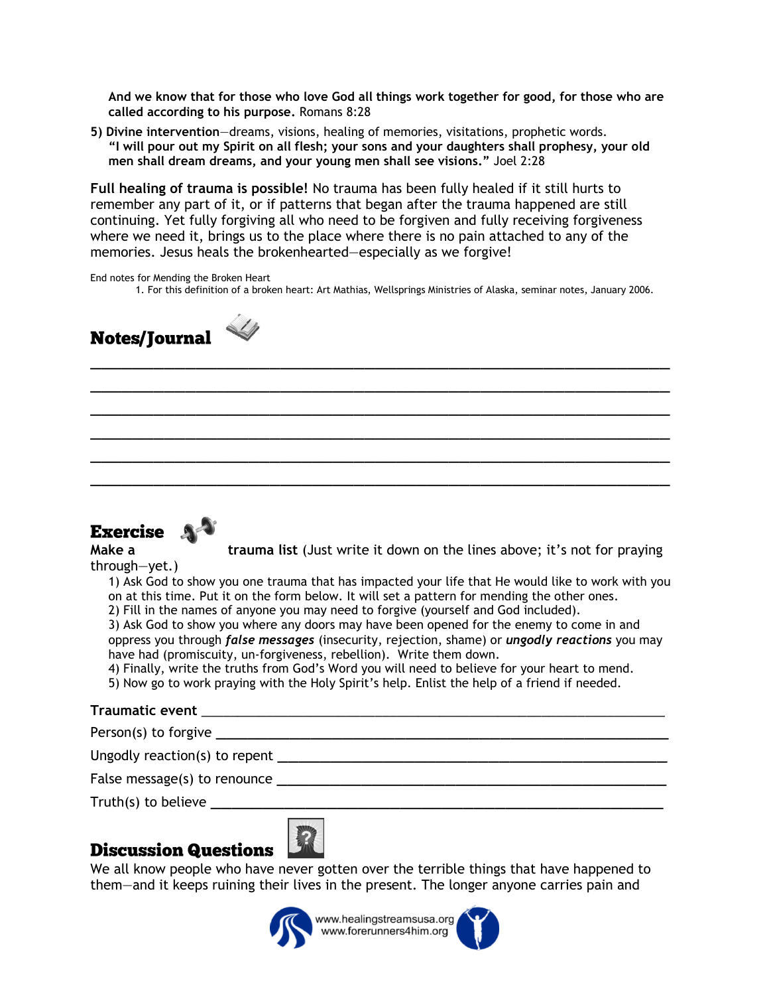**And we know that for those who love God all things work together for good, for those who are called according to his purpose.** Romans 8:28

**5) Divine intervention**—dreams, visions, healing of memories, visitations, prophetic words. **"I will pour out my Spirit on all flesh; your sons and your daughters shall prophesy, your old men shall dream dreams, and your young men shall see visions."** Joel 2:28

**Full healing of trauma is possible!** No trauma has been fully healed if it still hurts to remember any part of it, or if patterns that began after the trauma happened are still continuing. Yet fully forgiving all who need to be forgiven and fully receiving forgiveness where we need it, brings us to the place where there is no pain attached to any of the memories. Jesus heals the brokenhearted—especially as we forgive!

\_\_\_\_\_\_\_\_\_\_\_\_\_\_\_\_\_\_\_\_\_\_\_\_\_\_\_\_\_\_\_\_\_\_\_\_\_\_\_\_\_\_\_\_\_\_\_\_\_\_\_\_\_\_\_ \_\_\_\_\_\_\_\_\_\_\_\_\_\_\_\_\_\_\_\_\_\_\_\_\_\_\_\_\_\_\_\_\_\_\_\_\_\_\_\_\_\_\_\_\_\_\_\_\_\_\_\_\_\_\_ \_\_\_\_\_\_\_\_\_\_\_\_\_\_\_\_\_\_\_\_\_\_\_\_\_\_\_\_\_\_\_\_\_\_\_\_\_\_\_\_\_\_\_\_\_\_\_\_\_\_\_\_\_\_\_ \_\_\_\_\_\_\_\_\_\_\_\_\_\_\_\_\_\_\_\_\_\_\_\_\_\_\_\_\_\_\_\_\_\_\_\_\_\_\_\_\_\_\_\_\_\_\_\_\_\_\_\_\_\_\_ \_\_\_\_\_\_\_\_\_\_\_\_\_\_\_\_\_\_\_\_\_\_\_\_\_\_\_\_\_\_\_\_\_\_\_\_\_\_\_\_\_\_\_\_\_\_\_\_\_\_\_\_\_\_\_ \_\_\_\_\_\_\_\_\_\_\_\_\_\_\_\_\_\_\_\_\_\_\_\_\_\_\_\_\_\_\_\_\_\_\_\_\_\_\_\_\_\_\_\_\_\_\_\_\_\_\_\_\_\_\_

End notes for Mending the Broken Heart 1. For this definition of a broken heart: Art Mathias, Wellsprings Ministries of Alaska, seminar notes, January 2006.



## Exercise A<sup>-3</sup>

**Make a trauma list** (Just write it down on the lines above; it's not for praying

through—yet.)

1) Ask God to show you one trauma that has impacted your life that He would like to work with you on at this time. Put it on the form below. It will set a pattern for mending the other ones.

2) Fill in the names of anyone you may need to forgive (yourself and God included).

3) Ask God to show you where any doors may have been opened for the enemy to come in and oppress you through *false messages* (insecurity, rejection, shame) or *ungodly reactions* you may have had (promiscuity, un-forgiveness, rebellion). Write them down.

4) Finally, write the truths from God's Word you will need to believe for your heart to mend.

5) Now go to work praying with the Holy Spirit's help. Enlist the help of a friend if needed.

#### **Traumatic event** \_\_\_\_\_\_\_\_\_\_\_\_\_\_\_\_\_\_\_\_\_\_\_\_\_\_\_\_\_\_\_\_\_\_\_\_\_\_\_\_\_\_\_\_\_\_\_\_\_\_\_\_\_\_\_\_\_\_\_\_\_\_\_\_

Person(s) to forgive

Ungodly reaction(s) to repent

False message(s) to renounce **example the set of the set of the set of the set of the set of the set of the set of the set of the set of the set of the set of the set of the set of the set of the set of the set of the set** 

Truth(s) to believe

## **Discussion Questions**

We all know people who have never gotten over the terrible things that have happened to them—and it keeps ruining their lives in the present. The longer anyone carries pain and



www.healingstreamsusa.org www.forerunners4him.org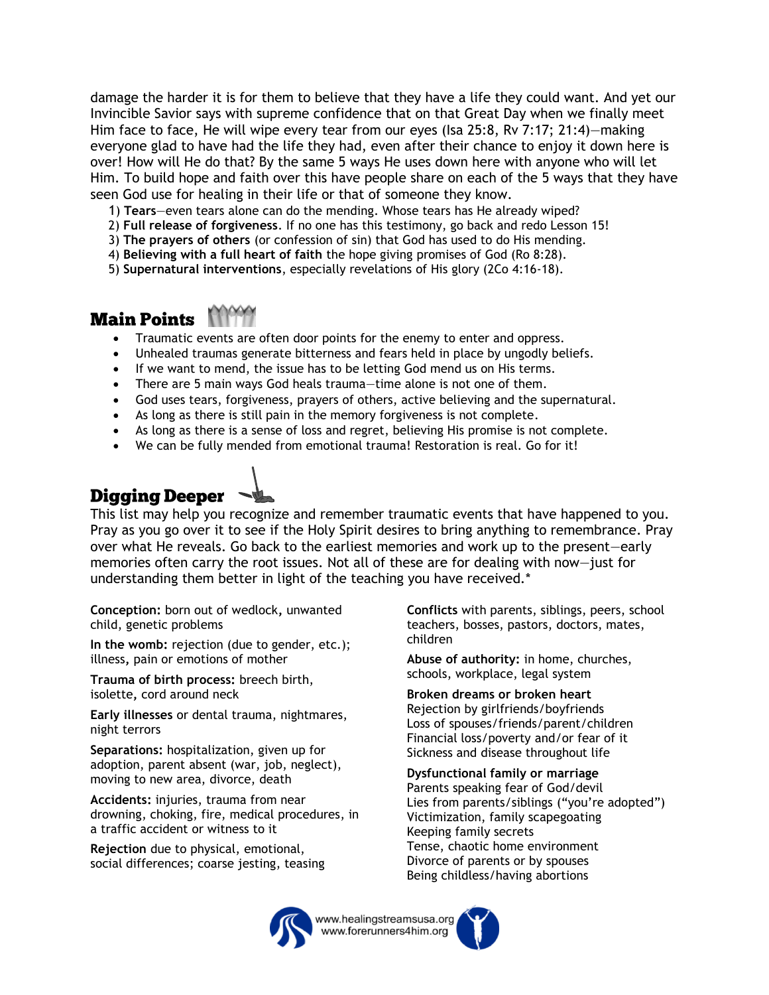damage the harder it is for them to believe that they have a life they could want. And yet our Invincible Savior says with supreme confidence that on that Great Day when we finally meet Him face to face, He will wipe every tear from our eyes (Isa 25:8, Rv 7:17; 21:4)—making everyone glad to have had the life they had, even after their chance to enjoy it down here is over! How will He do that? By the same 5 ways He uses down here with anyone who will let Him. To build hope and faith over this have people share on each of the 5 ways that they have seen God use for healing in their life or that of someone they know.

- 1) **Tears**—even tears alone can do the mending. Whose tears has He already wiped?
- 2) **Full release of forgiveness**. If no one has this testimony, go back and redo Lesson 15!
- 3) **The prayers of others** (or confession of sin) that God has used to do His mending.
- 4) **Believing with a full heart of faith** the hope giving promises of God (Ro 8:28).
- 5) **Supernatural interventions**, especially revelations of His glory (2Co 4:16-18).

#### **Main Points**

- Traumatic events are often door points for the enemy to enter and oppress.
- Unhealed traumas generate bitterness and fears held in place by ungodly beliefs.
- If we want to mend, the issue has to be letting God mend us on His terms.
- There are 5 main ways God heals trauma—time alone is not one of them.
- God uses tears, forgiveness, prayers of others, active believing and the supernatural.
- As long as there is still pain in the memory forgiveness is not complete.
- As long as there is a sense of loss and regret, believing His promise is not complete.
- We can be fully mended from emotional trauma! Restoration is real. Go for it!

# **Digging Deeper**

This list may help you recognize and remember traumatic events that have happened to you. Pray as you go over it to see if the Holy Spirit desires to bring anything to remembrance. Pray over what He reveals. Go back to the earliest memories and work up to the present—early memories often carry the root issues. Not all of these are for dealing with now—just for understanding them better in light of the teaching you have received.\*

**Conception:** born out of wedlock**,** unwanted child, genetic problems

**In the womb:** rejection (due to gender, etc.); illness**,** pain or emotions of mother

**Trauma of birth process:** breech birth, isolette**,** cord around neck

**Early illnesses** or dental trauma, nightmares, night terrors

**Separations:** hospitalization, given up for adoption, parent absent (war, job, neglect), moving to new area, divorce, death

**Accidents:** injuries, trauma from near drowning, choking, fire, medical procedures, in a traffic accident or witness to it

**Rejection** due to physical, emotional, social differences; coarse jesting, teasing **Conflicts** with parents, siblings, peers, school teachers, bosses, pastors, doctors, mates, children

**Abuse of authority:** in home, churches, schools, workplace, legal system

**Broken dreams or broken heart** Rejection by girlfriends/boyfriends Loss of spouses/friends/parent/children Financial loss/poverty and/or fear of it Sickness and disease throughout life

**Dysfunctional family or marriage** Parents speaking fear of God/devil Lies from parents/siblings ("you're adopted") Victimization, family scapegoating Keeping family secrets Tense, chaotic home environment Divorce of parents or by spouses Being childless/having abortions



www.healingstreamsusa.org www.forerunners4him.org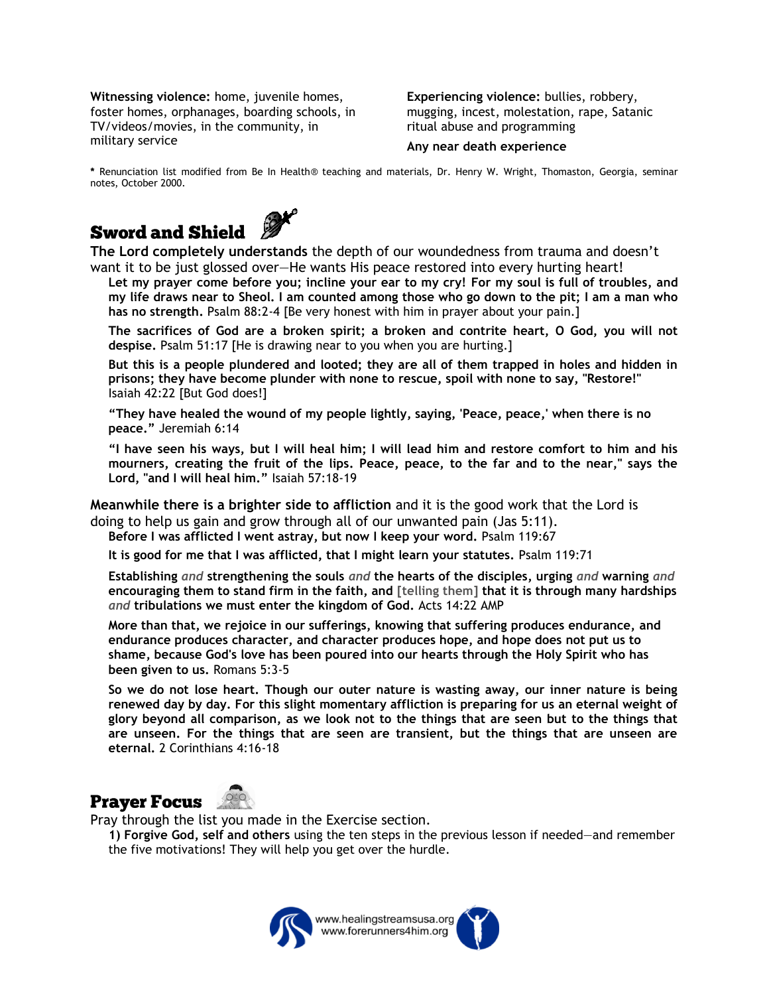**Witnessing violence:** home, juvenile homes, foster homes, orphanages, boarding schools, in TV/videos/movies, in the community, in military service

**Experiencing violence:** bullies, robbery, mugging, incest, molestation, rape, Satanic ritual abuse and programming

#### **Any near death experience**

**\*** Renunciation list modified from Be In Health® teaching and materials, Dr. Henry W. Wright, Thomaston, Georgia, seminar notes, October 2000.



**Sword and Shield**<br>The Lord completely understands the depth of our woundedness from trauma and doesn't want it to be just glossed over—He wants His peace restored into every hurting heart!

**Let my prayer come before you; incline your ear to my cry! For my soul is full of troubles, and my life draws near to Sheol. I am counted among those who go down to the pit; I am a man who has no strength.** Psalm 88:2-4 [Be very honest with him in prayer about your pain.]

**The sacrifices of God are a broken spirit; a broken and contrite heart, O God, you will not despise.** Psalm 51:17 [He is drawing near to you when you are hurting.]

**But this is a people plundered and looted; they are all of them trapped in holes and hidden in prisons; they have become plunder with none to rescue, spoil with none to say, "Restore!"** Isaiah 42:22 [But God does!]

**"They have healed the wound of my people lightly, saying, 'Peace, peace,' when there is no peace."** Jeremiah 6:14

**"I have seen his ways, but I will heal him; I will lead him and restore comfort to him and his mourners, creating the fruit of the lips. Peace, peace, to the far and to the near," says the Lord, "and I will heal him."** Isaiah 57:18-19

**Meanwhile there is a brighter side to affliction** and it is the good work that the Lord is doing to help us gain and grow through all of our unwanted pain (Jas 5:11).

**Before I was afflicted I went astray, but now I keep your word.** Psalm 119:67

**It is good for me that I was afflicted, that I might learn your statutes.** Psalm 119:71

**Establishing** *and* **strengthening the souls** *and* **the hearts of the disciples, urging** *and* **warning** *and*  **encouraging them to stand firm in the faith, and [telling them] that it is through many hardships**  *and* **tribulations we must enter the kingdom of God.** Acts 14:22 AMP

**More than that, we rejoice in our sufferings, knowing that suffering produces endurance, and endurance produces character, and character produces hope, and hope does not put us to shame, because God's love has been poured into our hearts through the Holy Spirit who has been given to us.** Romans 5:3-5

**So we do not lose heart. Though our outer nature is wasting away, our inner nature is being renewed day by day. For this slight momentary affliction is preparing for us an eternal weight of glory beyond all comparison, as we look not to the things that are seen but to the things that are unseen. For the things that are seen are transient, but the things that are unseen are eternal.** 2 Corinthians 4:16-18





Pray through the list you made in the Exercise section.

**1) Forgive God, self and others** using the ten steps in the previous lesson if needed—and remember the five motivations! They will help you get over the hurdle.